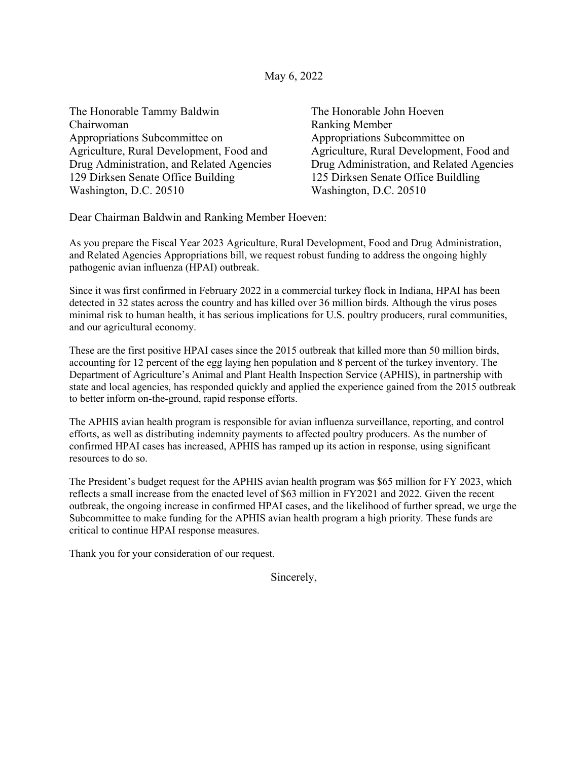## May 6, 2022

| The Honorable Tammy Baldwin               | The Honorable John Hoeven                 |
|-------------------------------------------|-------------------------------------------|
| Chairwoman                                | <b>Ranking Member</b>                     |
| Appropriations Subcommittee on            | Appropriations Subcommittee on            |
| Agriculture, Rural Development, Food and  | Agriculture, Rural Development, Food and  |
| Drug Administration, and Related Agencies | Drug Administration, and Related Agencies |
| 129 Dirksen Senate Office Building        | 125 Dirksen Senate Office Buildling       |
| Washington, D.C. 20510                    | Washington, D.C. 20510                    |
|                                           |                                           |

Dear Chairman Baldwin and Ranking Member Hoeven:

As you prepare the Fiscal Year 2023 Agriculture, Rural Development, Food and Drug Administration, and Related Agencies Appropriations bill, we request robust funding to address the ongoing highly pathogenic avian influenza (HPAI) outbreak.

Since it was first confirmed in February 2022 in a commercial turkey flock in Indiana, HPAI has been detected in 32 states across the country and has killed over 36 million birds. Although the virus poses minimal risk to human health, it has serious implications for U.S. poultry producers, rural communities, and our agricultural economy.

These are the first positive HPAI cases since the 2015 outbreak that killed more than 50 million birds, accounting for 12 percent of the egg laying hen population and 8 percent of the turkey inventory. The Department of Agriculture's Animal and Plant Health Inspection Service (APHIS), in partnership with state and local agencies, has responded quickly and applied the experience gained from the 2015 outbreak to better inform on-the-ground, rapid response efforts.

The APHIS avian health program is responsible for avian influenza surveillance, reporting, and control efforts, as well as distributing indemnity payments to affected poultry producers. As the number of confirmed HPAI cases has increased, APHIS has ramped up its action in response, using significant resources to do so.

The President's budget request for the APHIS avian health program was \$65 million for FY 2023, which reflects a small increase from the enacted level of \$63 million in FY2021 and 2022. Given the recent outbreak, the ongoing increase in confirmed HPAI cases, and the likelihood of further spread, we urge the Subcommittee to make funding for the APHIS avian health program a high priority. These funds are critical to continue HPAI response measures.

Thank you for your consideration of our request.

Sincerely,